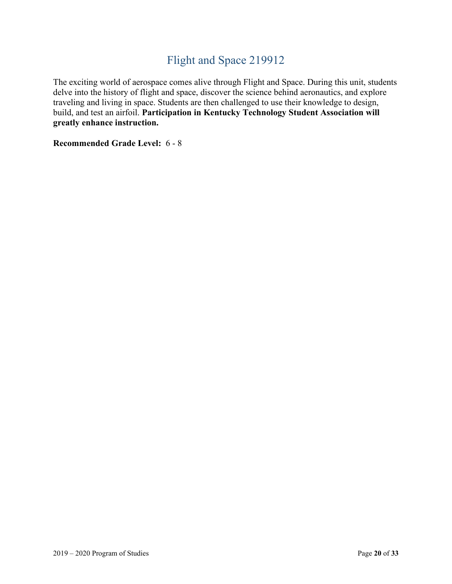# Flight and Space 219912

The exciting world of aerospace comes alive through Flight and Space. During this unit, students delve into the history of flight and space, discover the science behind aeronautics, and explore traveling and living in space. Students are then challenged to use their knowledge to design, build, and test an airfoil. **Participation in Kentucky Technology Student Association will greatly enhance instruction.**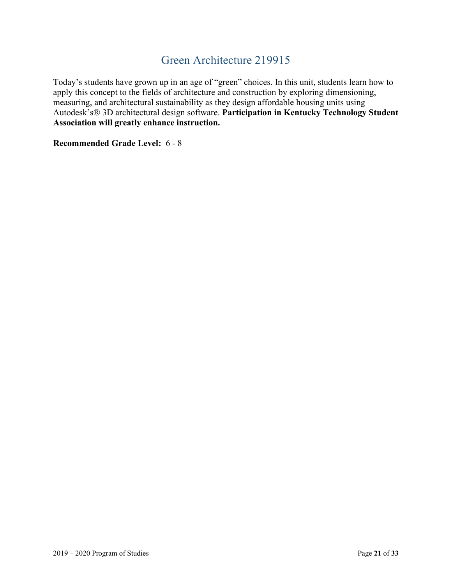# Green Architecture 219915

Today's students have grown up in an age of "green" choices. In this unit, students learn how to apply this concept to the fields of architecture and construction by exploring dimensioning, measuring, and architectural sustainability as they design affordable housing units using Autodesk's® 3D architectural design software. **Participation in Kentucky Technology Student Association will greatly enhance instruction.**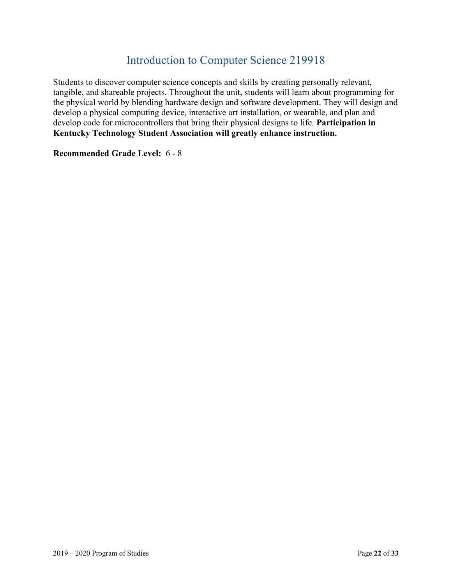# Introduction to Computer Science 219918

Students to discover computer science concepts and skills by creating personally relevant, tangible, and shareable projects. Throughout the unit, students will learn about programming for the physical world by blending hardware design and software development. They will design and develop a physical computing device, interactive art installation, or wearable, and plan and develop code for microcontrollers that bring their physical designs to life. **Participation in Kentucky Technology Student Association will greatly enhance instruction.**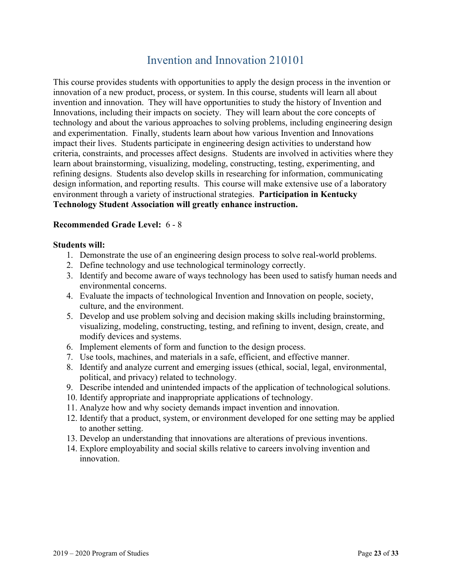### Invention and Innovation 210101

This course provides students with opportunities to apply the design process in the invention or innovation of a new product, process, or system. In this course, students will learn all about invention and innovation. They will have opportunities to study the history of Invention and Innovations, including their impacts on society. They will learn about the core concepts of technology and about the various approaches to solving problems, including engineering design and experimentation. Finally, students learn about how various Invention and Innovations impact their lives. Students participate in engineering design activities to understand how criteria, constraints, and processes affect designs. Students are involved in activities where they learn about brainstorming, visualizing, modeling, constructing, testing, experimenting, and refining designs. Students also develop skills in researching for information, communicating design information, and reporting results. This course will make extensive use of a laboratory environment through a variety of instructional strategies. **Participation in Kentucky Technology Student Association will greatly enhance instruction.**

#### **Recommended Grade Level:** 6 - 8

- 1. Demonstrate the use of an engineering design process to solve real-world problems.
- 2. Define technology and use technological terminology correctly.
- 3. Identify and become aware of ways technology has been used to satisfy human needs and environmental concerns.
- 4. Evaluate the impacts of technological Invention and Innovation on people, society, culture, and the environment.
- 5. Develop and use problem solving and decision making skills including brainstorming, visualizing, modeling, constructing, testing, and refining to invent, design, create, and modify devices and systems.
- 6. Implement elements of form and function to the design process.
- 7. Use tools, machines, and materials in a safe, efficient, and effective manner.
- 8. Identify and analyze current and emerging issues (ethical, social, legal, environmental, political, and privacy) related to technology.
- 9. Describe intended and unintended impacts of the application of technological solutions.
- 10. Identify appropriate and inappropriate applications of technology.
- 11. Analyze how and why society demands impact invention and innovation.
- 12. Identify that a product, system, or environment developed for one setting may be applied to another setting.
- 13. Develop an understanding that innovations are alterations of previous inventions.
- 14. Explore employability and social skills relative to careers involving invention and innovation.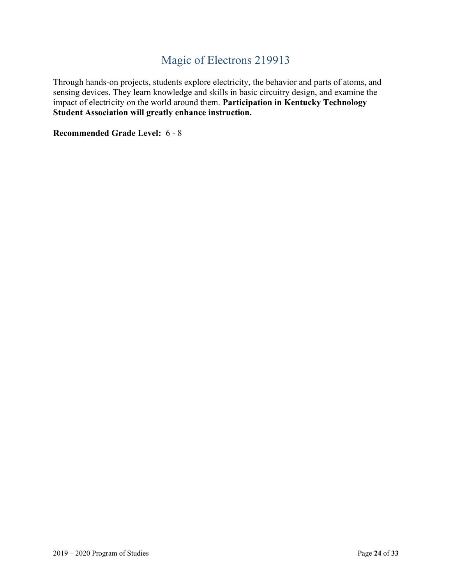# Magic of Electrons 219913

Through hands-on projects, students explore electricity, the behavior and parts of atoms, and sensing devices. They learn knowledge and skills in basic circuitry design, and examine the impact of electricity on the world around them. **Participation in Kentucky Technology Student Association will greatly enhance instruction.**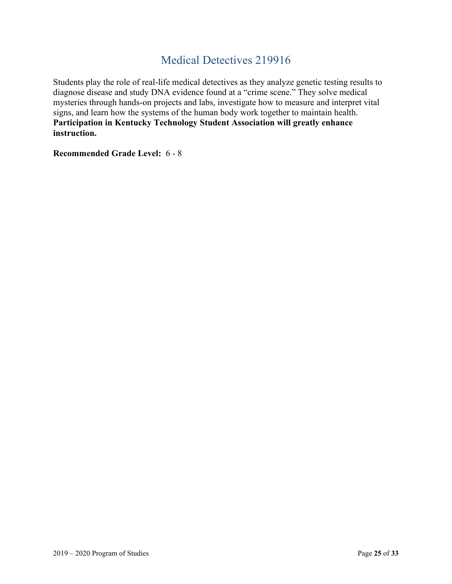### Medical Detectives 219916

Students play the role of real-life medical detectives as they analyze genetic testing results to diagnose disease and study DNA evidence found at a "crime scene." They solve medical mysteries through hands-on projects and labs, investigate how to measure and interpret vital signs, and learn how the systems of the human body work together to maintain health. **Participation in Kentucky Technology Student Association will greatly enhance instruction.**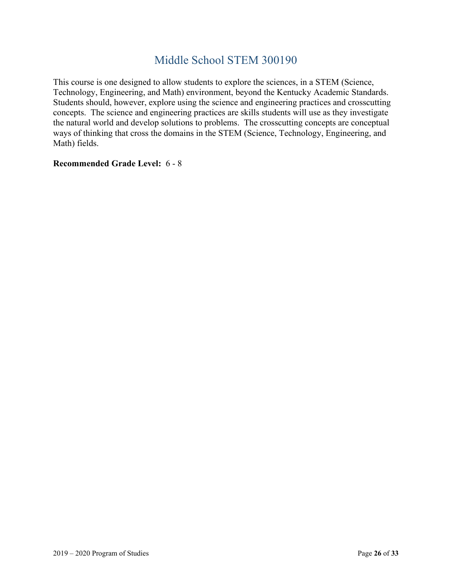# Middle School STEM 300190

This course is one designed to allow students to explore the sciences, in a STEM (Science, Technology, Engineering, and Math) environment, beyond the Kentucky Academic Standards. Students should, however, explore using the science and engineering practices and crosscutting concepts. The science and engineering practices are skills students will use as they investigate the natural world and develop solutions to problems. The crosscutting concepts are conceptual ways of thinking that cross the domains in the STEM (Science, Technology, Engineering, and Math) fields.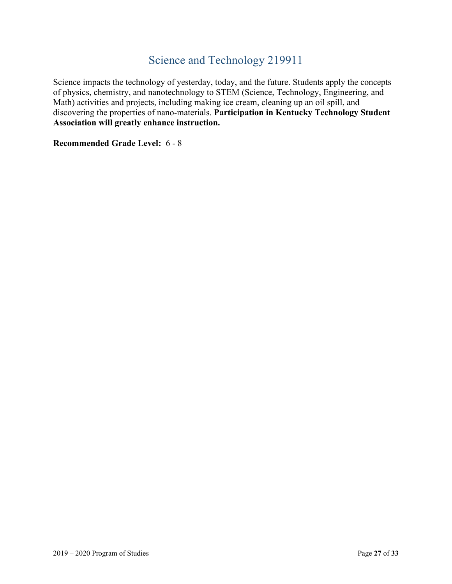# Science and Technology 219911

Science impacts the technology of yesterday, today, and the future. Students apply the concepts of physics, chemistry, and nanotechnology to STEM (Science, Technology, Engineering, and Math) activities and projects, including making ice cream, cleaning up an oil spill, and discovering the properties of nano-materials. **Participation in Kentucky Technology Student Association will greatly enhance instruction.**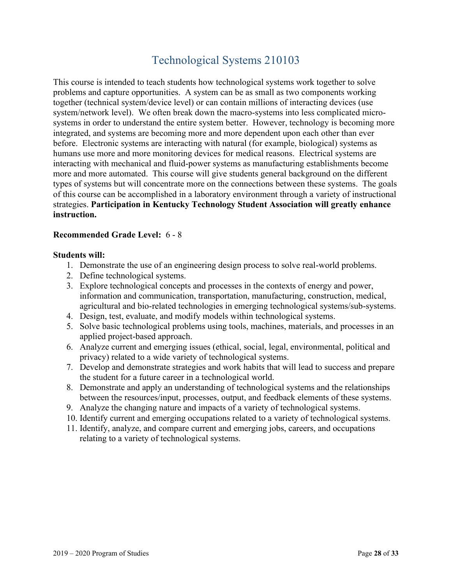# Technological Systems 210103

This course is intended to teach students how technological systems work together to solve problems and capture opportunities. A system can be as small as two components working together (technical system/device level) or can contain millions of interacting devices (use system/network level). We often break down the macro-systems into less complicated microsystems in order to understand the entire system better. However, technology is becoming more integrated, and systems are becoming more and more dependent upon each other than ever before. Electronic systems are interacting with natural (for example, biological) systems as humans use more and more monitoring devices for medical reasons. Electrical systems are interacting with mechanical and fluid-power systems as manufacturing establishments become more and more automated. This course will give students general background on the different types of systems but will concentrate more on the connections between these systems. The goals of this course can be accomplished in a laboratory environment through a variety of instructional strategies. **Participation in Kentucky Technology Student Association will greatly enhance instruction.**

#### **Recommended Grade Level:** 6 - 8

- 1. Demonstrate the use of an engineering design process to solve real-world problems.
- 2. Define technological systems.
- 3. Explore technological concepts and processes in the contexts of energy and power, information and communication, transportation, manufacturing, construction, medical, agricultural and bio-related technologies in emerging technological systems/sub-systems.
- 4. Design, test, evaluate, and modify models within technological systems.
- 5. Solve basic technological problems using tools, machines, materials, and processes in an applied project-based approach.
- 6. Analyze current and emerging issues (ethical, social, legal, environmental, political and privacy) related to a wide variety of technological systems.
- 7. Develop and demonstrate strategies and work habits that will lead to success and prepare the student for a future career in a technological world.
- 8. Demonstrate and apply an understanding of technological systems and the relationships between the resources/input, processes, output, and feedback elements of these systems.
- 9. Analyze the changing nature and impacts of a variety of technological systems.
- 10. Identify current and emerging occupations related to a variety of technological systems.
- 11. Identify, analyze, and compare current and emerging jobs, careers, and occupations relating to a variety of technological systems.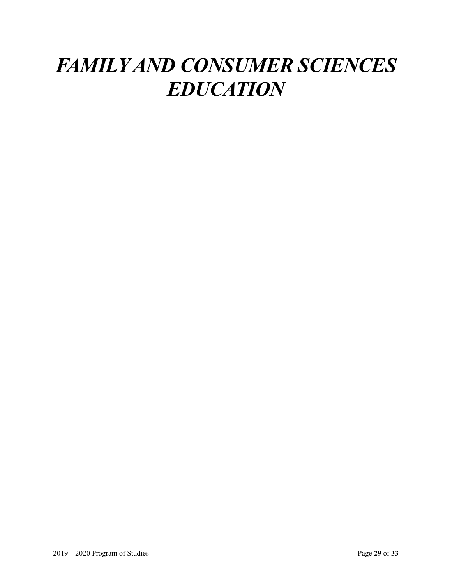# *FAMILY AND CONSUMER SCIENCES EDUCATION*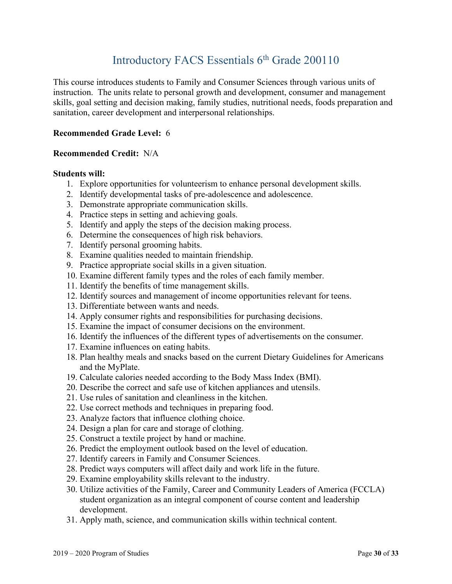# Introductory FACS Essentials 6<sup>th</sup> Grade 200110

This course introduces students to Family and Consumer Sciences through various units of instruction. The units relate to personal growth and development, consumer and management skills, goal setting and decision making, family studies, nutritional needs, foods preparation and sanitation, career development and interpersonal relationships.

### **Recommended Grade Level:** 6

#### **Recommended Credit:** N/A

- 1. Explore opportunities for volunteerism to enhance personal development skills.
- 2. Identify developmental tasks of pre-adolescence and adolescence.
- 3. Demonstrate appropriate communication skills.
- 4. Practice steps in setting and achieving goals.
- 5. Identify and apply the steps of the decision making process.
- 6. Determine the consequences of high risk behaviors.
- 7. Identify personal grooming habits.
- 8. Examine qualities needed to maintain friendship.
- 9. Practice appropriate social skills in a given situation.
- 10. Examine different family types and the roles of each family member.
- 11. Identify the benefits of time management skills.
- 12. Identify sources and management of income opportunities relevant for teens.
- 13. Differentiate between wants and needs.
- 14. Apply consumer rights and responsibilities for purchasing decisions.
- 15. Examine the impact of consumer decisions on the environment.
- 16. Identify the influences of the different types of advertisements on the consumer.
- 17. Examine influences on eating habits.
- 18. Plan healthy meals and snacks based on the current Dietary Guidelines for Americans and the MyPlate.
- 19. Calculate calories needed according to the Body Mass Index (BMI).
- 20. Describe the correct and safe use of kitchen appliances and utensils.
- 21. Use rules of sanitation and cleanliness in the kitchen.
- 22. Use correct methods and techniques in preparing food.
- 23. Analyze factors that influence clothing choice.
- 24. Design a plan for care and storage of clothing.
- 25. Construct a textile project by hand or machine.
- 26. Predict the employment outlook based on the level of education.
- 27. Identify careers in Family and Consumer Sciences.
- 28. Predict ways computers will affect daily and work life in the future.
- 29. Examine employability skills relevant to the industry.
- 30. Utilize activities of the Family, Career and Community Leaders of America (FCCLA) student organization as an integral component of course content and leadership development.
- 31. Apply math, science, and communication skills within technical content.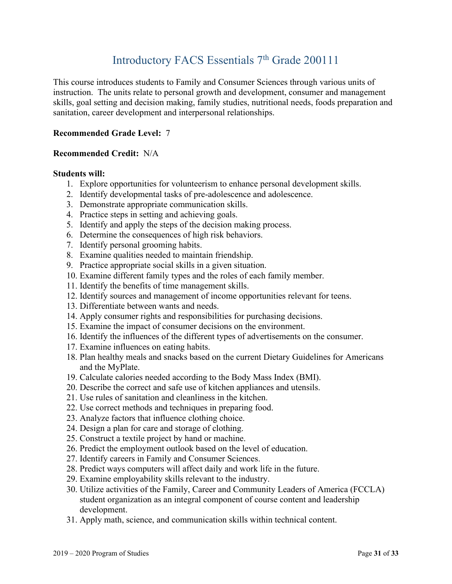# Introductory FACS Essentials 7<sup>th</sup> Grade 200111

This course introduces students to Family and Consumer Sciences through various units of instruction. The units relate to personal growth and development, consumer and management skills, goal setting and decision making, family studies, nutritional needs, foods preparation and sanitation, career development and interpersonal relationships.

#### **Recommended Grade Level:** 7

#### **Recommended Credit:** N/A

- 1. Explore opportunities for volunteerism to enhance personal development skills.
- 2. Identify developmental tasks of pre-adolescence and adolescence.
- 3. Demonstrate appropriate communication skills.
- 4. Practice steps in setting and achieving goals.
- 5. Identify and apply the steps of the decision making process.
- 6. Determine the consequences of high risk behaviors.
- 7. Identify personal grooming habits.
- 8. Examine qualities needed to maintain friendship.
- 9. Practice appropriate social skills in a given situation.
- 10. Examine different family types and the roles of each family member.
- 11. Identify the benefits of time management skills.
- 12. Identify sources and management of income opportunities relevant for teens.
- 13. Differentiate between wants and needs.
- 14. Apply consumer rights and responsibilities for purchasing decisions.
- 15. Examine the impact of consumer decisions on the environment.
- 16. Identify the influences of the different types of advertisements on the consumer.
- 17. Examine influences on eating habits.
- 18. Plan healthy meals and snacks based on the current Dietary Guidelines for Americans and the MyPlate.
- 19. Calculate calories needed according to the Body Mass Index (BMI).
- 20. Describe the correct and safe use of kitchen appliances and utensils.
- 21. Use rules of sanitation and cleanliness in the kitchen.
- 22. Use correct methods and techniques in preparing food.
- 23. Analyze factors that influence clothing choice.
- 24. Design a plan for care and storage of clothing.
- 25. Construct a textile project by hand or machine.
- 26. Predict the employment outlook based on the level of education.
- 27. Identify careers in Family and Consumer Sciences.
- 28. Predict ways computers will affect daily and work life in the future.
- 29. Examine employability skills relevant to the industry.
- 30. Utilize activities of the Family, Career and Community Leaders of America (FCCLA) student organization as an integral component of course content and leadership development.
- 31. Apply math, science, and communication skills within technical content.